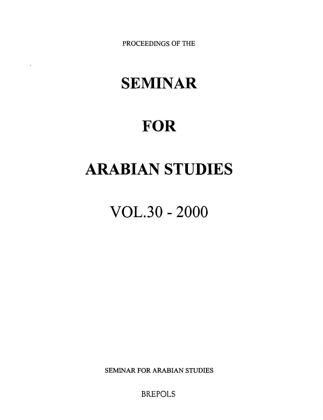**PROCEEDINGS OF THE** 

# **SEMINAR**

 $\ddot{\phantom{a}}$ 

## **FOR**

## **ARABIAN STUDIES**

VOL.30 - 2000

**SEMINAR FOR ARABIAN STUDIES** 

BREPOLS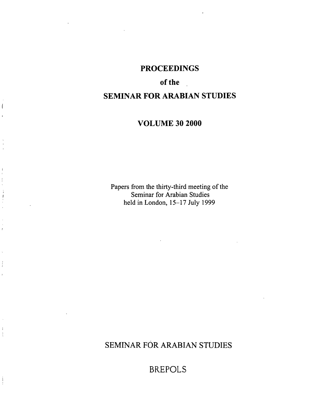### **PROCEEDINGS**

## **of the** ,

## **SEMINAR FOR ARABIAN STUDIES**

### **VOLUME 30 2000**

Papers from the thirty-third meeting of the Seminar for Arabian Studies held in London, 15-17 July 1999

## SEMINAR FÓR ARABIAN STUDIES

BREPOLS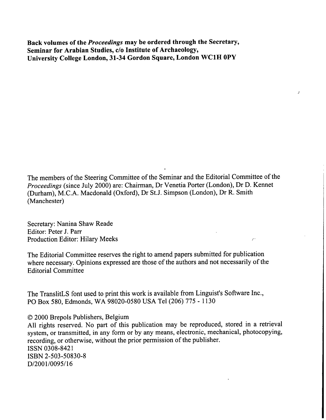**Back volumes of the** *Proceedings* **may be ordered through the Secretary,**  Seminar for Arabian Studies, c/o Institute of Archaeology, **University College London, 31-34 Gordon Square, London WClH OPY** 

The members of the Steering Committee of the Seminar and the Editorial Committee of the Proceedings (since July 2000) are: Chairman, Dr Venetia Porter (London), Dr D. Kennet (Durham), M.C.A. Macdonald (Oxford), Dr St.J. Simpson (London), Dr R. Smith (Manchester)

Secretary: Nanina Shaw Reade Editor: Peter J. Parr Production Editor: Hilary Meeks

The Editorial Committee reserves the right to amend papers submitted for publication where necessary. Opinions expressed are those of the authors and not necessarily of the Editorial Committee

 $\mathcal{L}^+$ 

The TranslitLS font used to print this work is available from Linguist's Software Inc., PO Box 580, Edmonds, WA 98020-0580 USA Tel(206) 775 - 1 130

O 2000 Brepols Publishers, Belgium

All rights reserved. No part of this publication may be reproduced, stored in a retrieval system, or transmitted, in any form or by any means, electronic, mechanical, photocopying, recording, or otherwise, without the prior permission of the publisher. ISSN 0308-842 1 ISBN 2-503-50830-8 D/2001/0095/16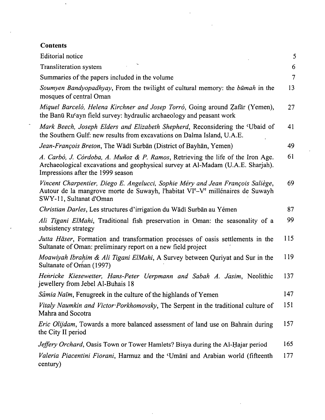### **Contents**

Ļ,

ł,

| <b>Editorial</b> notice                                                                                                                                                                                              | 5              |
|----------------------------------------------------------------------------------------------------------------------------------------------------------------------------------------------------------------------|----------------|
| Transliteration system                                                                                                                                                                                               | 6              |
| Summaries of the papers included in the volume                                                                                                                                                                       | $\overline{7}$ |
| Soumyen Bandyopadhyay, From the twilight of cultural memory: the būmah in the<br>mosques of central Oman                                                                                                             | 13             |
| Miquel Barceló, Helena Kirchner and Josep Torró, Going around Zafār (Yemen),<br>the Banū Ru'ayn field survey: hydraulic archaeology and peasant work                                                                 | 27             |
| Mark Beech, Joseph Elders and Elizabeth Shepherd, Reconsidering the 'Ubaid of<br>the Southern Gulf: new results from excavations on Dalma Island, U.A.E.                                                             | 41             |
| Jean-François Breton, The Wādī Surbān (District of Bayhān, Yemen)                                                                                                                                                    | 49             |
| A. Carbó, J. Córdoba, A. Muñoz & P. Ramos, Retrieving the life of the Iron Age.<br>Archaeological excavations and geophysical survey at Al-Madam (U.A.E. Sharjah).<br>Impressions after the 1999 season              | 61             |
| Vincent Charpentier, Diego E. Angelucci, Sophie Méry and Jean François Saliège,<br>Autour de la mangrove morte de Suwayh, l'habitat VI <sup>e</sup> -V <sup>e</sup> millénaires de Suwayh<br>SWY-11, Sultanat d'Oman | 69             |
| Christian Darles, Les structures d'irrigation du Wādī Surbān au Yémen                                                                                                                                                | 87             |
| Ali Tigani ElMahi, Traditional fish preservation in Oman: the seasonality of a<br>subsistency strategy                                                                                                               | 99             |
| Jutta Häser, Formation and transformation processes of oasis settlements in the<br>Sultanate of Oman: preliminary report on a new field project                                                                      | 115            |
| Moawiyah Ibrahim & Ali Tigani ElMahi, A Survey between Quriyat and Sur in the<br>Sultanate of Oman (1997)                                                                                                            | 119            |
| Henricke Kiesewetter, Hans-Peter Uerpmann and Sabah A. Jasim, Neolithic<br>jewellery from Jebel Al-Buhais 18                                                                                                         | 137            |
| Samia Naim, Fenugreek in the culture of the highlands of Yemen                                                                                                                                                       | 147            |
| Vitaly Naumkin and Victor Porkhomovsky, The Serpent in the traditional culture of<br>Mahra and Socotra                                                                                                               | 151            |
| <i>Eric Olijdam</i> , Towards a more balanced assessment of land use on Bahrain during<br>the City II period                                                                                                         | 157            |
| Jeffery Orchard, Oasis Town or Tower Hamlets? Bisya during the Al-Hajar period                                                                                                                                       | 165            |
| Valeria Piacentini Fiorani, Harmuz and the 'Umani and Arabian world (fifteenth<br>century)                                                                                                                           | 177            |

 $\sim$ 

 $\sim 10$ 

 $\overline{a}$ 

 $\bar{\mathcal{A}}$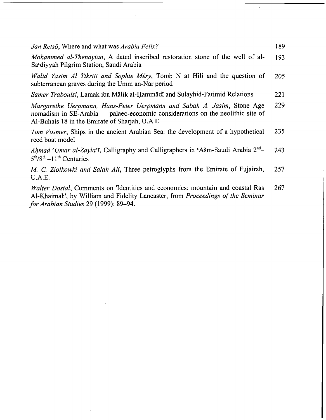| Jan Retsö, Where and what was Arabia Felix?                                                                                                                                                                 | 189 |
|-------------------------------------------------------------------------------------------------------------------------------------------------------------------------------------------------------------|-----|
| <i>Mohammed al-Thenayian</i> , A dated inscribed restoration stone of the well of al-<br>Sa'diyyah Pilgrim Station, Saudi Arabia                                                                            | 193 |
| Walid Yasim Al Tikriti and Sophie Méry, Tomb N at Hili and the question of<br>subterranean graves during the Umm an-Nar period                                                                              | 205 |
| Samer Traboulsi, Lamak ibn Mālik al-Hammādī and Sulayhid-Fatimid Relations                                                                                                                                  | 221 |
| Margarethe Uerpmann, Hans-Peter Uerpmann and Sabah A. Jasim, Stone Age<br>nomadism in SE-Arabia — palaeo-economic considerations on the neolithic site of<br>Al-Buhais 18 in the Emirate of Sharjah, U.A.E. | 229 |
| Tom Vosmer, Ships in the ancient Arabian Sea: the development of a hypothetical<br>reed boat model                                                                                                          | 235 |
| Ahmad 'Umar al-Zayla'i, Calligraphy and Calligraphers in 'Ašm-Saudi Arabia 2 <sup>nd</sup> -<br>$5th/8th - 11th$ Centuries                                                                                  | 243 |
| M. C. Ziolkowki and Salah Ali, Three petroglyphs from the Emirate of Fujairah,                                                                                                                              | 257 |

U.A.E. Walter Dostal, Comments on 'Identities and economics: mountain and coastal Ras 267

Al-Khaimah', by William and Fidelity Lancaster, from Proceedings of the Seminar for Arabian Studies 29 (1999): 89-94.

 $\omega_{\rm{eff}}$ 

 $\ddot{\phantom{a}}$ 

 $\bar{r}$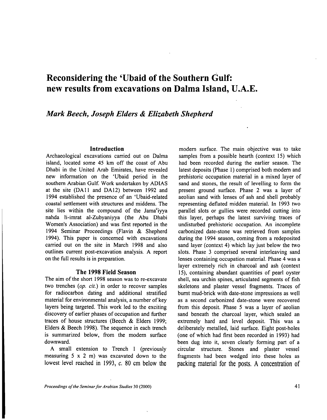## **Reconsidering the 'Ubaid of the Southern Gulf: new results from excavations on Dalma Island, U.A.E.**

#### *Mark Beech, Joseph Elders* & *Elizabeth Shepherd*

#### **Introduction**

Archaeological excavations carried out on Dalma island, located some 45 km off the coast of Abu Dhabi in the United Arab Emirates, have revealed new information on the 'Ubaid period in the southern Arabian Gulf. Work undertaken by ADIAS at the site (DA11 and DA12) between 1992 and 1994 established the presence of an 'Ubaid-related coastal settlement with structures and middens. The site lies within the compound of the Jama $<sup>c</sup>$ iyya</sup> nahda li-imrat al-Zubyaniyya (the Abu Dhabi Women's Association) and was first reported in the 1994 Seminar Proceedings (Flavin & Shepherd 1994). This paper is concerned with excavations carried out on the site in March 1998 and also outlines current post-excavation analysis. A report on the full results is in preparation.

#### **The 1998 Field Season**

The aim of the short 1998 season was to re-excavate two trenches *(op. cit.)* in order to recover samples for radiocarbon dating and additional stratified material for environmental analysis, a number of key layers being targeted. This work led to the exciting discovery of earlier phases of occupation and further traces of house structures (Beech & Elders 1999; Elders & Beech 1998). The sequence in each trench is summarized below, from the modem surface downward.

A small extension to Trench 1 (previously measuring 5 X **2** m) was excavated down to the lowest level reached in 1993, c. 80 cm below the

modern surface. The main objective was to take samples from a possible hearth (context 15) which had been recorded during the earlier season. The latest deposits (Phase l) comprised both modem and prehistoric occupation material in a mixed layer of sand and stones, the result of levelling to form the present ground surface. Phase 2 was a layer of aeolian sand with lenses of ash and shell probably representing deflated midden material. In 1993 two parallel slots or gullies were recorded cutting into this layer, perhaps the latest surviving traces of undisturbed prehistoric occupation. An incomplete carbonized date-stone was retrieved from samples during the 1994 season, coming from a redeposited sand layer (context 4) which lay just below the two slots. Phase 3 comprised several interleaving sand lenses containing occupation material. Phase 4 was a layer extremely rich in charcoal and ash (context 15), containing abundant quantities of pearl oyster shell, sea urchin spines, articulated segments of fish skeletons and plaster vessel fragments. Traces of burnt mud-brick with date-stone impressions as well as a second carbonized date-stone were recovered from this deposit. Phase 5 was a layer of aeolian sand beneath the charcoal layer, which sealed an extremely hard and level deposit. This was a deliberately metalled, laid surface. Eight post-holes (one of which had first been recorded in 1993) had been dug into it, seven clearly forming part of a circular structure. Stones and plaster vessel fragments had been wedged into these holes as packing material for the posts. **A** concentration of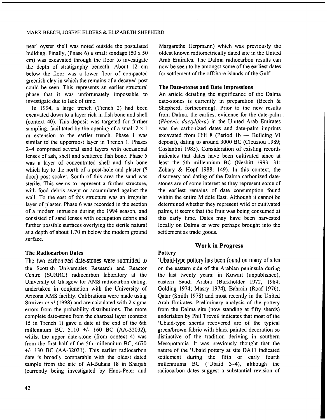pearl oyster shell was noted outside the postulated building. Finally, (Phase  $6$ ) a small sondage (50 x 50) cm) was excavated through the floor to investigate the depth of stratigraphy beneath. About 12 cm below the floor was a lower floor of compacted greenish clay in which the remains of a decayed post could be seen. This represents an earlier structural phase that it was unfortunately impossible to investigate due to lack of time.

In 1994, a large trench (Trench 2) had been excavated down to a layer rich in fish bone and shell (context 40). This deposit was targeted for further sampling, facilitated by the opening of a small  $2 \times 1$ m extension to the earlier trench. Phase 1 was similar to the uppermost layer in Trench 1. Phases 24 comprised several sand layers with occasional lenses of ash, shell and scattered fish bone. Phase 5 was a layer of concentrated shell and fish bone which lay to the north of a post-hole and plaster (? door) post socket. South of this area the sand was sterile. This seems to represent a further structure, with food debris swept or accumulated against the wall. To the east of this structure was an irregular layer of plaster. Phase 6 was recorded in the section of a modem intrusion during the 1994 season, and consisted of sand lenses with occupation debris and further possible surfaces overlying the sterile natural at a depth of about 1.70 m below the modern ground surface.

#### **The Radiocarbon Dates**

The two carbonized date-stones were submitted to the Scottish Universities Research and Reactor Centre (SURRC) radiocarbon laboratory at the University of Glasgow for AMS radiocarbon dating, undertaken in conjunction with the University of Arizona AMS facility. Calibrations were made using Struiver et al (1998) and are calculated with 2 sigma errors from the probability distributions. The more complete date-stone from the charcoal layer (context 15 in Trench 1) gave a date at the end of the 6th millennium BC, 5110 +/- 160 BC (AA-32032), whilst the upper date-stone (from context 4) was from the first half of the 5th millennium BC, 4670 +l- 130 BC (AA-32031). This earlier radiocarbon date is broadly comparable with the oldest dated sample from the site of Al-Buhais 18 in Sharjah (currently being investigated by Hans-Peter and

Margarethe Uerpmann) which was previously the oldest known radiometrically dated site in the United Arab Emirates. The Dalma radiocarbon results can now be seen to be amongst some of the earliest dates for settlement of the offshore islands of the Gulf.

#### **The Date-stones and Date Impressions**

An article detailing the significance of the Dalma date-stones is currently in preparation (Beech & Shepherd, forthcoming). Prior to the new results from Dalma, the earliest evidence for the date-palm . (Phoenix dactylifera) in the United Arab Emirates was the carbonized dates and date-palm imprints excavated from Hili 8 (Period  $1b$  - Building VI deposit), dating to around 3000 BC (Cleuziou 1989; Costantini 1985). Consideration of existing records indicates that dates have been cultivated since at least the 5th millennium BC (Nesbitt 1993: 31; Zohary & Hopf 1988: 149). In this context, the discovery and dating of the Dalma carbonized datestones are of some interest as they represent some of the earliest remains of date consumption found within the entire Middle East. Although it cannot be determined whether they represent wild or cultivated palms, it seems that the fruit was being consumed at this early time. Dates may have been harvested locally on Dalma or were perhaps brought into the settlement as trade goods.

#### **Work in Progress**

#### **Pottery**

'Ubaid-type pottery has been found on many of sites on the eastern side of the Arabian peninsula during the last twenty years: in Kuwait (unpublished), eastern Saudi Arabia (Burkholder 1972, 1984; Golding 1974; Masry 1974), Bahrain (Roaf 1976), Qatar (Smith 1978) and most recently in the United Arab Emirates. Preliminary analysis of the pottery from the Dalma site (now standing at fifty sherds) undertaken by Phi1 Treveil indicates that most of the 'Ubaid-type sherds recovered are of the typical green/brown fabric with black painted decoration so distinctive of the tradition deriving in southern Mesopotamia. It was previously thought that the nature of the 'Ubaid pottery at site DA11 indicated settlement during the fifth or early fourth millenniums BC ('Ubaid  $3-4$ ), although the radiocarbon dates suggest a substantial revision of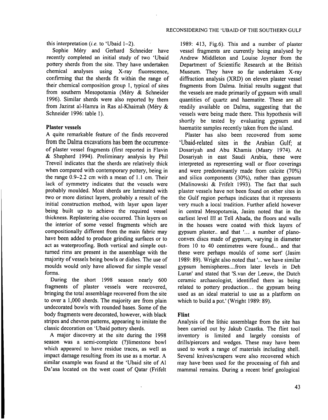this interpretation **(i.e.** to 'Ubaid 1-2).

Sophie Méry and Gerhard Schneider have recently completed an initial study of two 'Ubaid pottery sherds from the site. They have undertaken chemical analyses using X-ray fluorescence, confirming that the sherds fit within the range of their chemical composition group 1, typical of sites from southern Mesopotamia (Méry & Schneider 1996). Similar sherds were also reported by them from Jazirat al-Hamra in Ras al-Khaimah (Méry & Schneider 1996: table 1).

#### **Plaster vessels**

A quite remarkable feature of the finds recovered from the Dalma excavations has been the occurrence of plaster vessel fragments (first reported in Flavin & Shepherd 1994). Preliminary analysis by Phi1 Treveil indicates that the sherds are relatively thick when compared with contemporary pottery, being in the range 0.9-2.2 cm with a mean of 1.1 cm. Their lack of symmetry indicates that the vessels were probably moulded. Most sherds are laminated with two or more distinct layers, probably a result of the initial construction method, with layer upon layer being built up to achieve the required vessel thickness. Replastering also occurred. Thin layers on the interior of some vessel fragments which are compositionally different from the main fabric may have been added to produce grinding surfaces or to act as waterproofing. Both vertical and simple outturned rims are present in the assemblage with the majority of vessels being bowls or dishes. The use of moulds would only have allowed for simple vessel forms.

During the short 1998 season nearly 600 fragments of plaster vessels were recovered, bringing the total assemblage recovered from the site to over a 1,000 sherds. The majority are from plain undecorated bowls with rounded bases. Some of the body fragments were decorated, however, with black stripes and chevron patterns, appearing to imitate the classic decoration on 'Ubaid pottery sherds.

A major discovery at the site during the 1998 season was a semi-complete (?)limestone bowl which appeared to have residue traces, as well as impact damage resulting from its use as a mortar. A similar example was found at the 'Ubaid site of A1 Da'asa located on the west coast of Qatar (Frifelt

1989: 413, Fig.6). This and a number of plaster vessel fragments are currently being analysed by Andrew Middleton and Louise Joyner from the Department of Scientific Research at the British Museum. They have so far undertaken X-ray diffraction analysis (XRD) on eleven plaster vessel fragments from Dalma. Initial results suggest that the vessels are made primarily of gypsum with small quantities of quartz and haematite. These are all readily available on Dalma, suggesting that the vessels were being made there. This hypothesis will shortly be tested by evaluating gypsum and haematite samples recently taken from the island.

Plaster has also been recovered from some 'Ubaid-related sites in the Arabian Gulf; at Dosariyah and Abu Khamis (Masry 1974). At Dosariyah in east Saudi Arabia, these were interpreted as representing wall or floor coverings and were predominantly made from calcite (70%) and silica components (30%), rather than gypsum (Malinowski & Frifelt 1993). The fact that such plaster vessels have not been found on other sites in the Gulf region perhaps indicates that it represents very much a local tradition. Further afield however in central Mesopotamia, Jasim noted that in the earliest level **111** at Tell Abada, the floors and walls in the houses were coated with thick layers of gypsum plaster.. and that **l...** a number of planoconvex discs made of gypsum, varying in diameter from 10 to 40 centimetres were found... and that these were perhaps moulds of some sort' (Jasim 1989: 89). Wright also noted that **l...** we have similar gypsum hemispheres .... from later levels in Deh Luran' and stated that 'S.van der Leeuw, the Dutch ceramic archaeologist, identified them 'as being related to pottery production... the gypsum being used as an ideal material to use as a platform on which to build a pot.' (Wright 1989: 89).

#### **Flint**

Analysis of the lithic assemblage from the site has been carried out by Jakub Czastka. The flint tool inventory is limited and largely consists of drills/piercers and wedges. These may have been used to work a range of materials including shell. Several knives/scrapers were also recovered which may have,been used for the processing of fish and mammal remains. During a recent brief geological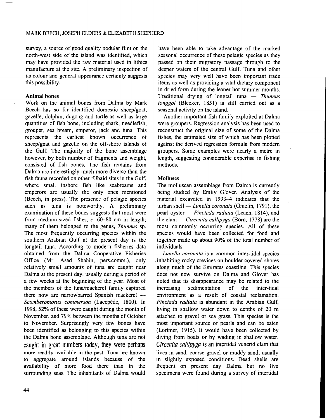survey, a source of good quality nodular flint on the north-west side of the island was identified, which may have provided the raw material used in lithics manufacture at the site. A preliminary inspection of its colour and general appearance certainly suggests this possibility.

#### **Animal bones**

Work on the animal bones from Dalma by Mark Beech has so far identified domestic sheep/goat, gazelle, dolphin, dugong and turtle as well as large quantities of fish bone, including shark, needlefish, grouper, sea bream, emperor, jack and tuna. This represents the earliest known occurrence of sheep/goat and gazelle on the off-shore islands of the Gulf. The majority of the bone assemblage however, by both number of fragments and weight, consisted of fish bones. The fish remains from Dalma are interestingly much more diverse than the fish fauna recorded on other 'Ubaid sites in the Gulf, where small inshore fish like seabreams and emperors are usually the only ones mentioned (Beech, in press). The presence of pelagic species such as tuna is noteworthy. A preliminary examination of these bones suggests that most were from medium-sized fishes, *c.* 60-80 cm in length; many of them belonged to the genus, *Thunnus* sp. The most frequently occurring species within the southern Arabian Gulf at the present day is the longtail tuna. According to modern fisheries data obtained from the Dalma Cooperative Fisheries Office (Mr. Asad Shahin, pers.comm.), only relatively small amounts of tuna are caught near Dalma at the present day, usually during a period of a few weeks at the beginning of the year. Most of the members of the tuna/mackerel family captured a few weeks at the beginning of the year. Most of<br>the members of the tuna/mackerel family captured<br>there now are narrowbarred Spanish mackerel — *Scomberomorus commerson* (Lacepede, 1800). In 1998, 52% of these were caught during the month of November, and 79% between the months of October to November. Surprisingly very few bones have been identified as belonging to this species within the Dalma bone assemblage. Although tuna are not caught in great numbers today, they were perhaps more readily available in the past. Tuna are known to aggregate around islands because of the availability of more food there than in the surrounding seas. The inhabitants of Dalma would

have been able to take advantage of the marked seasonal occurrence of these pelagic species as they passed on their migratory passage through to the deeper waters of the central Gulf. Tuna and other species may very well have been important trade items as well as providing a vital dietary component in dried form during the leaner hot summer months. Traditional drying a vital dietary component<br>in dried form during the leaner hot summer months.<br>Traditional drying of longtail tuna — *Thunnus tonggol* (Bleeker, 1851) is still carried out as a seasonal activity on the island.

Another important fish family exploited at Dalma were groupers. Regression analysis has been used to reconstruct the original size of some of the Dalma fishes, the estimated size of which has been plotted against the derived regression formula from modem groupers. Some examples were nearly a metre in length, suggesting considerable expertise in fishing methods.

#### **Molluscs**

The molluscan assemblage from Dalma is currently being studied by Emily Glover. Analysis of the material excavated in 1993-4 indicates that the being studied by Emily Glover. Analysis of the<br>material excavated in 1993–4 indicates that the<br>turban shell — *Lunella coronata* (Gmelin, 1791), the material excavated in 1993–4 indicates that the<br>turban shell — *Lunella coronata* (Gmelin, 1791), the<br>pearl oyster — *Pinctada radiata* (Leach, 1814), and turban shell — *Lunella coronata* (Gmelin, 1791), the<br>pearl oyster — *Pinctada radiata* (Leach, 1814), and<br>the clam — *Circenita callipyga* (Born, 1778) are the most commonly occurring species. All of these species would have been collected for food and together made up about 90% of the total number of individuals.

*Lunella coronata* is a common inter-tidal species inhabiting rocky crevices on boulder covered shores along much of the Emirates coastline. This species does not now survive on Dalma and Glover has noted that its disappearance may be related to the increasing sedimentation of the inter-tidal environment as a result of coastal reclamation. *Pinctada radiata* is abundant in the Arabian Gulf, living in shallow water down to depths of 20 m attached to gravel or sea grass. This species is the most important source of pearls and can be eaten (Lorimer, 1915). It would have been collected by diving from boats or by wading in shallow water. Circenita callipyga is an intertidal venerid clam that lives in sand, coarse gravel or muddy sand, usually in slightly exposed conditions. Dead shells are frequent on present day Dalma but no live specimens were found during a survey of intertidal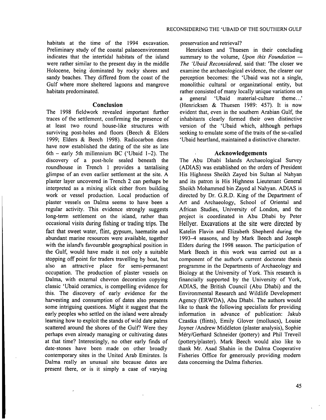habitats at the time of the 1994 excavation. Preliminary study of the coastal palaeoenvironment indicates that the intertidal habitats of the island were rather similar to the present day in the middle Holocene, being 'dominated by rocky shores and sandy beaches. They differed from the coast of the Gulf where more sheltered lagoons and mangrove habitats predominated.

#### **Conclusion**

The 1998 fieldwork revealed important further traces of the settlement, confirming the presence of at least two round house-like structures with surviving post-holes and floors (Beech & Elders 1999; Elders & Beech 1998). Radiocarbon dates have now established the dating of the site as late 6th – early 5th millennium BC ('Ubaid  $1-2$ ). The discovery of a post-hole sealed beneath the roundhouse in Trench 1 provides a tantalising glimpse of an even earlier settlement at the site. A plaster layer uncovered in Trench **2** can perhaps be interpreted as a mixing slick either from building work or vessel production. Local production of plaster vessels on Dalma seems to have been a regular activity. This evidence strongly suggests long-term settlement on the island, rather than occasional visits during fishing or trading trips. The fact that sweet water, flint, gypsum, haematite and abundant marine resources were available, together with the island's favourable geographical position in the Gulf, would have made it not only a suitable stopping off point for traders travelling by boat, but also an attractive place for semi-permanent occupation. The production of plaster vessels on Dalma, with external chevron decoration copying classic 'Ubaid ceramics, is compelling evidence for this. The discovery of early evidence for the harvesting and consumption of dates also presents some intriguing questions. Might it suggest that the early peoples who settled on the island were already learning how to exploit the stands of wild date palms scattered around the shores of the Gulf? Were they perhaps even already managing or cultivating dates at that time? Interestingly, no other early finds of date-stones have been made on other broadly contemporary sites in the United Arab Emirates. Is Dalma really an unusual site because dates are present there, or is it simply a case of varying

preservation and retrieval?

Henricksen and Thuesen in their concluding summary to the volume, *Upon this Foundation* -*The 'Ubaid Reconsidered,* said that: 'The closer we examine the archaeological evidence, the clearer our perception becomes: the 'Ubaid was not a single, monolithic cultural or organizational entity, but rather consisted of many locally unique variations on<br>a general 'Ubaid material-culture theme...' a general 'Ubaid material-culture (Henricksen & Thuesen 1989: 457). It is now evident that, even in the southern Arabian Gulf, the inhabitants clearly formed their own distinctive version of the 'Ubaid which, although perhaps seeking to emulate some of the traits of the so-called 'Ubaid heartland, maintained a distinctive character.

#### **Acknowledgements**

The Abu Dhabi Islands Archaeological Survey (ADIAS) was established on the orders of President His Highness Sheikh Zayed bin Sultan a1 Nahyan and its patron is His Highness Lieutenant General Sheikh Mohammed bin Zayed a1 Nahyan. ADIAS is directed by Dr. G.R.D. King of the Department of Art and Archaeology, School of Oriental and African Studies, University of London, and the project is coordinated in Abu Dhabi by Peter Hellyer. Excavations at the site were directed by Katelin Flavin and Elizabeth Shepherd during the **1993-4** seasons, and by Mark Beech and Joseph Elders during the 1998 season. The participation of Mark Beech in this work was carried out as a component of the author's current doctorate thesis programme in the Departments of Archaeology and Biology at the University of York. This research is financially supported by the University of York, ADIAS, the British Council (Abu Dhabi) and the Environmental Research and Wildlife Development Agency (ERWDA), Abu Dhabi. The authors would like to thank the following specialists for providing information in advance of publication: Jakub Czastka (flints), Emily Glover (molluscs), Louise Joyner /Andrew Middleton (plaster analysis), Sophie MerylGerhard Schneider (pottery) and Phil Treveil (pottery/plaster). Mark Beech would also like to thank Mr. Asad Shahin in the Dalma Cooperative Fisheries Office for generously providing modem data concerning the Dalma fisheries.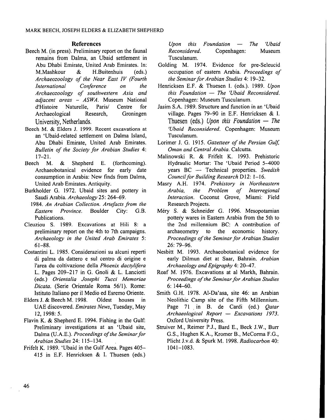#### **References**

- Beech M. (in press). Preliminary report on the fauna1 remains from Dalma, an Ubaid settlement in Abu Dhabi Emirate, United Arab Emirates. In: M.Mashkour & H.Buitenhuis (eds.) *Archaeozoology of the Near East IV (Fourth International Conference on the Archaeozoology of southwestern Asia and adjacent areas – ASWA.* Museum National<br>d'Histoire Naturelle Paris/ Centre for Naturelle. Archaeological Research, Groningen University, Netherlands.
- Beech M. & Elders J. 1999. Recent excavations at an 'Ubaid-related settlement on Dalma Island, Abu Dhabi Emirate, United Arab Emirates. *Bulletin of the Society for Arabian Studies* 4: 17-21.
- Beech M. & Shepherd E. (forthcoming). Archaeobotanical evidence for early date consumption in Arabia: New finds from Dalma, United Arab Emirates. Antiquity.
- Burkholder G. 1972. Ubaid sites and pottery in Saudi Arabia. *Archaeology* 25: 264-69.
- 1984. *An Arabian Collection. Artefacts from the Eastern Province.* Boulder City: G.B. Publications.
- Cleuziou S. 1989. Excavations at Hili 8: a preliminary report on the 4th to 7th campaigns. *Archaeology in the United Arab Emirates* 5: 61-88.
- Costantini L. 1985. Considerazioni su alcuni reperti di palma da dattero e sul centro di origine e l'area du coltivazione della *Phoenix dactylifera*  L. Pages 209-217 in G. Gnoli & L. Lanciotti (eds.) *Orientalia Josephi Tucci Memoriae Dicata.* (Serie Orientale Roma 5611). Rome: Istituto Italiano per il Medio ed Esremo Oriente.
- Elders J. & Beech M. 1998. Oldest houses in UAE discovered. *Emirates News,* Tuesday, May 12, 1998: 5.
- Flavin K. & Shepherd E. 1994. Fishing in the Gulf: Preliminary investigations at an 'Ubaid site, Dalma (U.A.E.). *Proceedings of the Seminar for Arabian Studies* 24: 1 15-134. ,
- Frifelt K. 1989. 'Ubaid in the Gulf Area. Pages 405- 415 in E.F. Henricksen & I. Thuesen (eds.)

*Upon this Foundation* - *The 'Ubaid Reconsidered.* Copenhagen: Museum Tusculanum.

- Golding M. 1974. Evidence for pre-Seleucid occupation of eastern Arabia. *Proceedings of the Seminar for Arabian Studies* 4: 19-32.
- Henricksen E.F. & Thuesen I. (eds.). 1989. *Upon this Foundation* - *The 'Ubaid Reconsidered.*  Copenhagen: Museum Tusculanum.
- Jasim **S.A.** 1989. Structure and finction in an 'Ubaid village. Pages 79-90 in E.F. Henricksen & I. Thuesen (eds.) Upon this Foundation - The *'Ubaid Reconsidered.* Copenhagen: Museum Tusculanum.
- Lorimer J. G. 1915. *Gazetteer of the Persian Gulf. Oman and Central Arabia.* Calcutta.
- Malinowski R. & Frifelt K. 1993. Prehistoric Hydraulic Mortar: The 'Ubaid Period 5-4000 nowski R. & Frifelt K. 1993. Prehistoric<br>Hydraulic Mortar: The 'Ubaid Period 5–4000<br>years BC -- Technical properties. *Swedish Council for Building Research D12: 1-16.*
- Masry A.H. 1974. *Prehistory in Northeastern Arabia, the Problem of Interregional Interaction.* Coconut Grove, Miami: Field Research Projects.
- Mery S. & Schneider G. 1996. Mesopotamian pottery wares in Eastern Arabia from the 5th to the 2nd millennium BC: A contribution of archaeometry to the economic history. *Proceedings of the Seminar for Arabian Studies*  26: 79-96.
- Nesbitt M. 1993. Archaeobotanical evidence for early Dilmun diet at Saar, Bahrain. *Arabian Archaeology and Epigraphy* 4: 20-47.
- Roaf M. 1976. Excavations at a1 Markh, Bahrain. *Proceedings* of *the Seminar for Arabian Studies*  6: 144-60.
- Smith G.H. 1978. Al-Da'asa, site 46: an Arabian Neolithic Camp site of the Fifth Millennium. Page 71 in B. de Cardi (ed.) Oatar *Archaeological Report* - *Excavations 1973.*  Oxford University Press.
- Struiver M., Reimer P.J., Bard E., Beck J.W., Burr G.S., Hughen K.A., Kromer B., McCorma F.G., Plicht J.v.d. & Spurk M. 1998. *Radiocarbon* 40: 1041-1083.